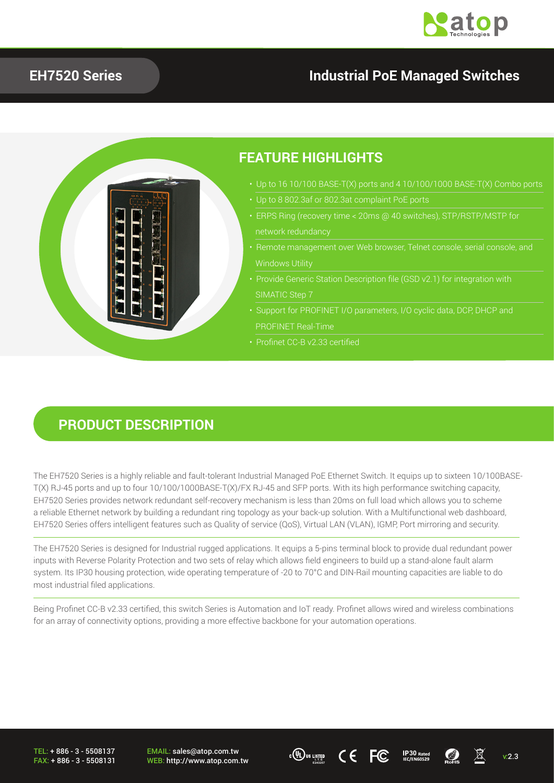

### **EH7520 Series Industrial PoE Managed Switches**



#### **PRODUCT DESCRIPTION**

The EH7520 Series is a highly reliable and fault-tolerant Industrial Managed PoE Ethernet Switch. It equips up to sixteen 10/100BASE-T(X) RJ-45 ports and up to four 10/100/1000BASE-T(X)/FX RJ-45 and SFP ports. With its high performance switching capacity, EH7520 Series provides network redundant self-recovery mechanism is less than 20ms on full load which allows you to scheme a reliable Ethernet network by building a redundant ring topology as your back-up solution. With a Multifunctional web dashboard, EH7520 Series offers intelligent features such as Quality of service (QoS), Virtual LAN (VLAN), IGMP, Port mirroring and security.

The EH7520 Series is designed for Industrial rugged applications. It equips a 5-pins terminal block to provide dual redundant power inputs with Reverse Polarity Protection and two sets of relay which allows field engineers to build up a stand-alone fault alarm system. Its IP30 housing protection, wide operating temperature of -20 to 70°C and DIN-Rail mounting capacities are liable to do most industrial filed applications.

Being Profinet CC-B v2.33 certified, this switch Series is Automation and IoT ready. Profinet allows wired and wireless combinations for an array of connectivity options, providing a more effective backbone for your automation operations.

TEL: + 886 - 3 - 5508137 FAX: + 886 - 3 - 5508131

EMAIL: sales@atop.com.tw EMAIL: sales@atop.com.tw **30 ICH COMAIL:** sales@atop.com.tw **1990 ICH COMAIL:** Sales **ICH COMAIL:**  $\sum_{\text{EC/EN60529}}$  **ICC ICC ICC ICC ICC ICC ICC ICC ICC ICC ICC ICC ICC ICC ICC ICC ICC** 





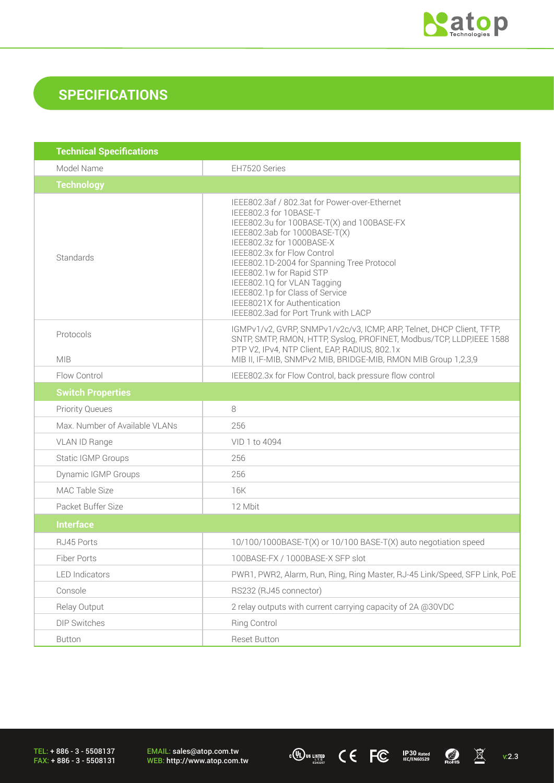

## **SPECIFICATIONS**

| <b>Technical Specifications</b> |                                                                                                                                                                                                                                                                                                                                                                                                                                        |
|---------------------------------|----------------------------------------------------------------------------------------------------------------------------------------------------------------------------------------------------------------------------------------------------------------------------------------------------------------------------------------------------------------------------------------------------------------------------------------|
| Model Name                      | EH7520 Series                                                                                                                                                                                                                                                                                                                                                                                                                          |
| <b>Technology</b>               |                                                                                                                                                                                                                                                                                                                                                                                                                                        |
| Standards                       | IEEE802.3af / 802.3at for Power-over-Ethernet<br>IEEE802.3 for 10BASE-T<br>IEEE802.3u for 100BASE-T(X) and 100BASE-FX<br>IEEE802.3ab for 1000BASE-T(X)<br>IEEE802.3z for 1000BASE-X<br>IEEE802.3x for Flow Control<br>IEEE802.1D-2004 for Spanning Tree Protocol<br>IEEE802.1w for Rapid STP<br>IEEE802.1Q for VLAN Tagging<br>IEEE802.1p for Class of Service<br>IEEE8021X for Authentication<br>IEEE802.3ad for Port Trunk with LACP |
| Protocols<br><b>MIB</b>         | IGMPv1/v2, GVRP, SNMPv1/v2c/v3, ICMP, ARP, Telnet, DHCP Client, TFTP,<br>SNTP, SMTP, RMON, HTTP, Syslog, PROFINET, Modbus/TCP, LLDP,IEEE 1588<br>PTP V2, IPv4, NTP Client, EAP, RADIUS, 802.1x<br>MIB II, IF-MIB, SNMPv2 MIB, BRIDGE-MIB, RMON MIB Group 1,2,3,9                                                                                                                                                                       |
| Flow Control                    | IEEE802.3x for Flow Control, back pressure flow control                                                                                                                                                                                                                                                                                                                                                                                |
| <b>Switch Properties</b>        |                                                                                                                                                                                                                                                                                                                                                                                                                                        |
| <b>Priority Queues</b>          | 8                                                                                                                                                                                                                                                                                                                                                                                                                                      |
| Max. Number of Available VLANs  | 256                                                                                                                                                                                                                                                                                                                                                                                                                                    |
| VLAN ID Range                   | VID 1 to 4094                                                                                                                                                                                                                                                                                                                                                                                                                          |
| Static IGMP Groups              | 256                                                                                                                                                                                                                                                                                                                                                                                                                                    |
| <b>Dynamic IGMP Groups</b>      | 256                                                                                                                                                                                                                                                                                                                                                                                                                                    |
| MAC Table Size                  | 16K                                                                                                                                                                                                                                                                                                                                                                                                                                    |
| Packet Buffer Size              | 12 Mbit                                                                                                                                                                                                                                                                                                                                                                                                                                |
| <b>Interface</b>                |                                                                                                                                                                                                                                                                                                                                                                                                                                        |
| RJ45 Ports                      | 10/100/1000BASE-T(X) or 10/100 BASE-T(X) auto negotiation speed                                                                                                                                                                                                                                                                                                                                                                        |
| Fiber Ports                     | 100BASE-FX / 1000BASE-X SFP slot                                                                                                                                                                                                                                                                                                                                                                                                       |
| <b>LED</b> Indicators           | PWR1, PWR2, Alarm, Run, Ring, Ring Master, RJ-45 Link/Speed, SFP Link, PoE                                                                                                                                                                                                                                                                                                                                                             |
| Console                         | RS232 (RJ45 connector)                                                                                                                                                                                                                                                                                                                                                                                                                 |
| Relay Output                    | 2 relay outputs with current carrying capacity of 2A @30VDC                                                                                                                                                                                                                                                                                                                                                                            |
| DIP Switches                    | <b>Ring Control</b>                                                                                                                                                                                                                                                                                                                                                                                                                    |
| <b>Button</b>                   | Reset Button                                                                                                                                                                                                                                                                                                                                                                                                                           |

TEL: + 886 - 3 - 5508137 FAX: + 886 - 3 - 5508131 EMAIL: sales@atop.com.tw<br>WEB: http://www.atop.com.tw **WEB: http://www.atop.com.tw** v:2.3 **30 ICC ICC ICO ICO ICO ICO ICO ICO ICO ICO ICO ICO ICO ICO ICO ICO ICO ICO ICO ICO ICO ICO ICO ICO ICO ICO ICO ICO ICO ICO**

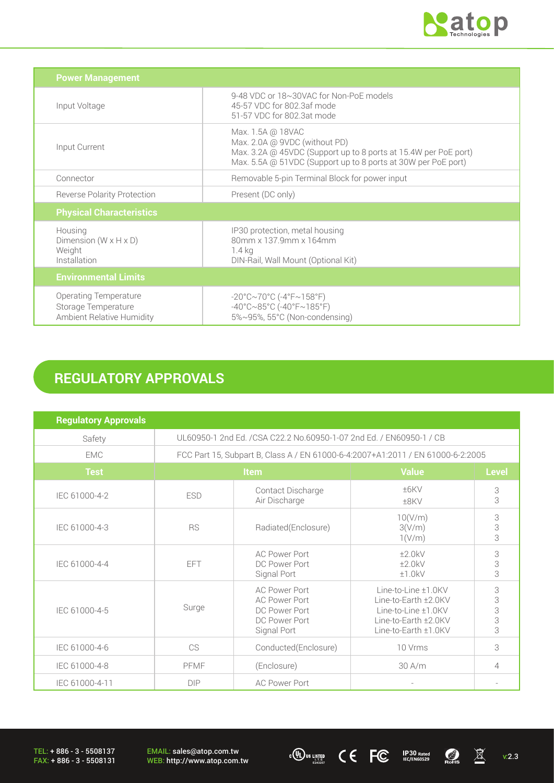

| <b>Power Management</b>                                                                 |                                                                                                                                                                                        |
|-----------------------------------------------------------------------------------------|----------------------------------------------------------------------------------------------------------------------------------------------------------------------------------------|
| Input Voltage                                                                           | 9-48 VDC or 18~30VAC for Non-PoE models<br>45-57 VDC for 802.3af mode<br>51-57 VDC for 802.3at mode                                                                                    |
| Input Current                                                                           | Max. 1.5A @ 18VAC<br>Max. 2.0A @ 9VDC (without PD)<br>Max. 3.2A @ 45VDC (Support up to 8 ports at 15.4W per PoE port)<br>Max. 5.5A @ 51VDC (Support up to 8 ports at 30W per PoE port) |
| Connector                                                                               | Removable 5-pin Terminal Block for power input                                                                                                                                         |
| <b>Reverse Polarity Protection</b>                                                      | Present (DC only)                                                                                                                                                                      |
| <b>Physical Characteristics</b>                                                         |                                                                                                                                                                                        |
| Housing<br>Dimension ( $W \times H \times D$ )<br>Weight<br>Installation                | IP30 protection, metal housing<br>80mm x 137.9mm x 164mm<br>1.4 kg<br>DIN-Rail, Wall Mount (Optional Kit)                                                                              |
| <b>Environmental Limits</b>                                                             |                                                                                                                                                                                        |
| <b>Operating Temperature</b><br>Storage Temperature<br><b>Ambient Relative Humidity</b> | $-20^{\circ}$ C $\sim$ 70°C (-4°F $\sim$ 158°F)<br>$-40^{\circ}$ C $\sim$ 85°C (-40°F $\sim$ 185°F)<br>5%~95%, 55°C (Non-condensing)                                                   |

# **REGULATORY APPROVALS**

| <b>Regulatory Approvals</b> |                                                                                 |                                                                                               |                                                                                                                    |                                |
|-----------------------------|---------------------------------------------------------------------------------|-----------------------------------------------------------------------------------------------|--------------------------------------------------------------------------------------------------------------------|--------------------------------|
| Safety                      | UL60950-1 2nd Ed. /CSA C22.2 No.60950-1-07 2nd Ed. / EN60950-1 / CB             |                                                                                               |                                                                                                                    |                                |
| <b>EMC</b>                  | FCC Part 15, Subpart B, Class A / EN 61000-6-4:2007+A1:2011 / EN 61000-6-2:2005 |                                                                                               |                                                                                                                    |                                |
| <b>Test</b>                 | Item                                                                            |                                                                                               | <b>Value</b>                                                                                                       | <b>Level</b>                   |
| IEC 61000-4-2               | <b>ESD</b>                                                                      | Contact Discharge<br>Air Discharge                                                            | ±6KV<br>±8KV                                                                                                       | $\ensuremath{\mathsf{3}}$<br>3 |
| IEC 61000-4-3               | <b>RS</b>                                                                       | Radiated(Enclosure)                                                                           | 10(V/m)<br>3(V/m)<br>1(V/m)                                                                                        | 3<br>3<br>3                    |
| IEC 61000-4-4               | EFT                                                                             | <b>AC Power Port</b><br>DC Power Port<br>Signal Port                                          | ±2.0kV<br>±2.0kV<br>±1.0kV                                                                                         | 3<br>3<br>3                    |
| IEC 61000-4-5               | Surge                                                                           | <b>AC Power Port</b><br><b>AC Power Port</b><br>DC Power Port<br>DC Power Port<br>Signal Port | Line-to-Line ±1.0KV<br>Line-to-Earth ±2.0KV<br>Line-to-Line ±1.0KV<br>Line-to-Earth ±2.0KV<br>Line-to-Earth ±1.0KV | 3<br>3<br>3<br>3<br>3          |
| IEC 61000-4-6               | CS                                                                              | Conducted(Enclosure)                                                                          | 10 Vrms                                                                                                            | 3                              |
| IEC 61000-4-8               | PFMF                                                                            | (Enclosure)                                                                                   | 30 A/m                                                                                                             | 4                              |
| IEC 61000-4-11              | <b>DIP</b>                                                                      | <b>AC Power Port</b>                                                                          |                                                                                                                    |                                |

EMAIL: sales@atop.com.tw<br>WEB: http://www.atop.com.tw **WEB: http://www.atop.com.tw** v:2.3 **30 ICC ICC ICO ICO ICO ICO ICO ICO ICO ICO ICO ICO ICO ICO ICO ICO ICO ICO ICO ICO ICO ICO ICO ICO ICO ICO ICO ICO ICO ICO**